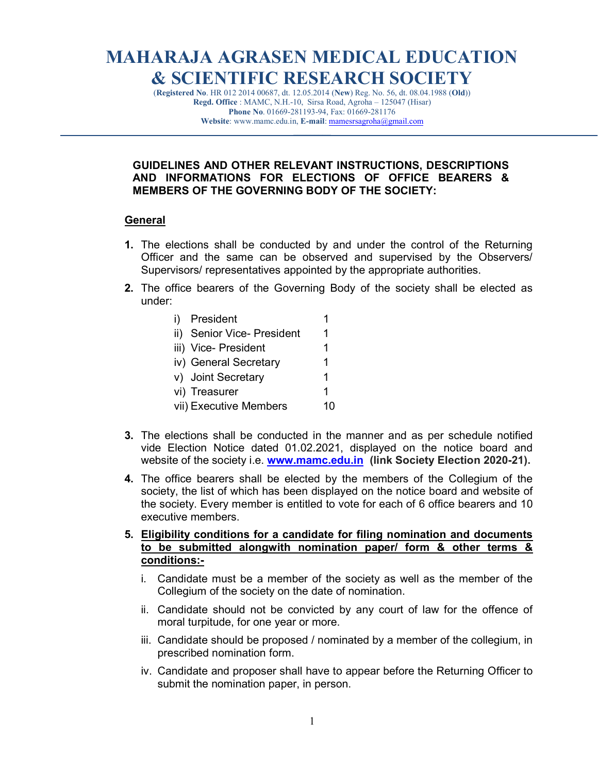# MAHARAJA AGRASEN MEDICAL EDUCATION & SCIENTIFIC RESEARCH SOCIETY

(Registered No. HR 012 2014 00687, dt. 12.05.2014 (New) Reg. No. 56, dt. 08.04.1988 (Old)) Regd. Office : MAMC, N.H.-10, Sirsa Road, Agroha – 125047 (Hisar) Phone No. 01669-281193-94, Fax: 01669-281176 Website: www.mamc.edu.in, E-mail: mamesrsagroha@gmail.com

 $\mathcal{L}=\mathcal{L}$ 

## GUIDELINES AND OTHER RELEVANT INSTRUCTIONS, DESCRIPTIONS AND INFORMATIONS FOR ELECTIONS OF OFFICE BEARERS & MEMBERS OF THE GOVERNING BODY OF THE SOCIETY:

## General

- 1. The elections shall be conducted by and under the control of the Returning Officer and the same can be observed and supervised by the Observers/ Supervisors/ representatives appointed by the appropriate authorities.
- 2. The office bearers of the Governing Body of the society shall be elected as under:

| i) | President                  |    |
|----|----------------------------|----|
|    | ii) Senior Vice- President | 1  |
|    | iii) Vice- President       | 1  |
|    | iv) General Secretary      | 1  |
|    | v) Joint Secretary         | 1  |
|    | vi) Treasurer              | 1  |
|    | vii) Executive Members     | 10 |
|    |                            |    |

- 3. The elections shall be conducted in the manner and as per schedule notified vide Election Notice dated 01.02.2021, displayed on the notice board and website of the society i.e. www.mamc.edu.in (link Society Election 2020-21).
- 4. The office bearers shall be elected by the members of the Collegium of the society, the list of which has been displayed on the notice board and website of the society. Every member is entitled to vote for each of 6 office bearers and 10 executive members.
- 5. Eligibility conditions for a candidate for filing nomination and documents to be submitted alongwith nomination paper/ form & other terms & conditions:
	- i. Candidate must be a member of the society as well as the member of the Collegium of the society on the date of nomination.
	- ii. Candidate should not be convicted by any court of law for the offence of moral turpitude, for one year or more.
	- iii. Candidate should be proposed / nominated by a member of the collegium, in prescribed nomination form.
	- iv. Candidate and proposer shall have to appear before the Returning Officer to submit the nomination paper, in person.